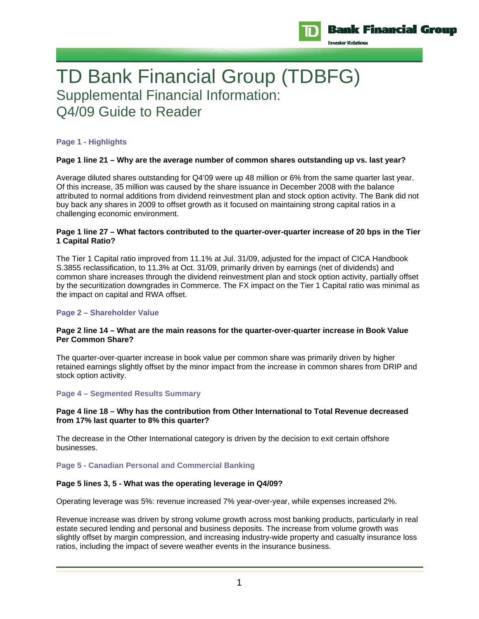

TD Bank Financial Group (TDBFG) Supplemental Financial Information: Q4/09 Guide to Reader

# **Page 1 - Highlights**

## **Page 1 line 21 – Why are the average number of common shares outstanding up vs. last year?**

Average diluted shares outstanding for Q4'09 were up 48 million or 6% from the same quarter last year. Of this increase, 35 million was caused by the share issuance in December 2008 with the balance attributed to normal additions from dividend reinvestment plan and stock option activity. The Bank did not buy back any shares in 2009 to offset growth as it focused on maintaining strong capital ratios in a challenging economic environment.

## **Page 1 line 27 – What factors contributed to the quarter-over-quarter increase of 20 bps in the Tier 1 Capital Ratio?**

The Tier 1 Capital ratio improved from 11.1% at Jul. 31/09, adjusted for the impact of CICA Handbook S.3855 reclassification, to 11.3% at Oct. 31/09, primarily driven by earnings (net of dividends) and common share increases through the dividend reinvestment plan and stock option activity, partially offset by the securitization downgrades in Commerce. The FX impact on the Tier 1 Capital ratio was minimal as the impact on capital and RWA offset.

#### **Page 2 – Shareholder Value**

#### **Page 2 line 14 – What are the main reasons for the quarter-over-quarter increase in Book Value Per Common Share?**

The quarter-over-quarter increase in book value per common share was primarily driven by higher retained earnings slightly offset by the minor impact from the increase in common shares from DRIP and stock option activity.

## **Page 4 – Segmented Results Summary**

#### **Page 4 line 18 – Why has the contribution from Other International to Total Revenue decreased from 17% last quarter to 8% this quarter?**

The decrease in the Other International category is driven by the decision to exit certain offshore businesses.

#### **Page 5 - Canadian Personal and Commercial Banking**

#### **Page 5 lines 3, 5 - What was the operating leverage in Q4/09?**

Operating leverage was 5%: revenue increased 7% year-over-year, while expenses increased 2%.

Revenue increase was driven by strong volume growth across most banking products, particularly in real estate secured lending and personal and business deposits. The increase from volume growth was slightly offset by margin compression, and increasing industry-wide property and casualty insurance loss ratios, including the impact of severe weather events in the insurance business.